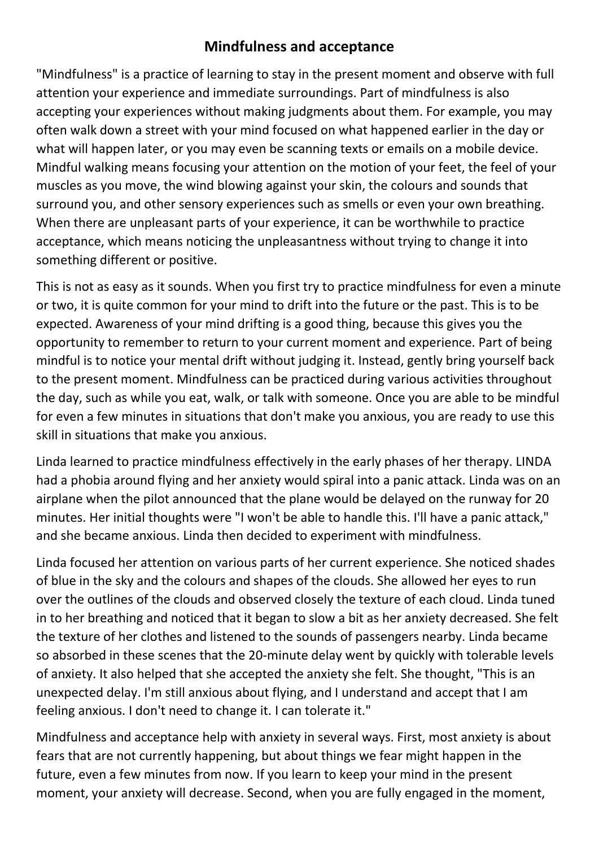## **Mindfulness and acceptance**

"Mindfulness" is a practice of learning to stay in the present moment and observe with full attention your experience and immediate surroundings. Part of mindfulness is also accepting your experiences without making judgments about them. For example, you may often walk down a street with your mind focused on what happened earlier in the day or what will happen later, or you may even be scanning texts or emails on a mobile device. Mindful walking means focusing your attention on the motion of your feet, the feel of your muscles as you move, the wind blowing against your skin, the colours and sounds that surround you, and other sensory experiences such as smells or even your own breathing. When there are unpleasant parts of your experience, it can be worthwhile to practice acceptance, which means noticing the unpleasantness without trying to change it into something different or positive.

This is not as easy as it sounds. When you first try to practice mindfulness for even a minute or two, it is quite common for your mind to drift into the future or the past. This is to be expected. Awareness of your mind drifting is a good thing, because this gives you the opportunity to remember to return to your current moment and experience. Part of being mindful is to notice your mental drift without judging it. Instead, gently bring yourself back to the present moment. Mindfulness can be practiced during various activities throughout the day, such as while you eat, walk, or talk with someone. Once you are able to be mindful for even a few minutes in situations that don't make you anxious, you are ready to use this skill in situations that make you anxious.

Linda learned to practice mindfulness effectively in the early phases of her therapy. LINDA had a phobia around flying and her anxiety would spiral into a panic attack. Linda was on an airplane when the pilot announced that the plane would be delayed on the runway for 20 minutes. Her initial thoughts were "I won't be able to handle this. I'll have a panic attack," and she became anxious. Linda then decided to experiment with mindfulness.

Linda focused her attention on various parts of her current experience. She noticed shades of blue in the sky and the colours and shapes of the clouds. She allowed her eyes to run over the outlines of the clouds and observed closely the texture of each cloud. Linda tuned in to her breathing and noticed that it began to slow a bit as her anxiety decreased. She felt the texture of her clothes and listened to the sounds of passengers nearby. Linda became so absorbed in these scenes that the 20-minute delay went by quickly with tolerable levels of anxiety. It also helped that she accepted the anxiety she felt. She thought, "This is an unexpected delay. I'm still anxious about flying, and I understand and accept that I am feeling anxious. I don't need to change it. I can tolerate it."

Mindfulness and acceptance help with anxiety in several ways. First, most anxiety is about fears that are not currently happening, but about things we fear might happen in the future, even a few minutes from now. If you learn to keep your mind in the present moment, your anxiety will decrease. Second, when you are fully engaged in the moment,